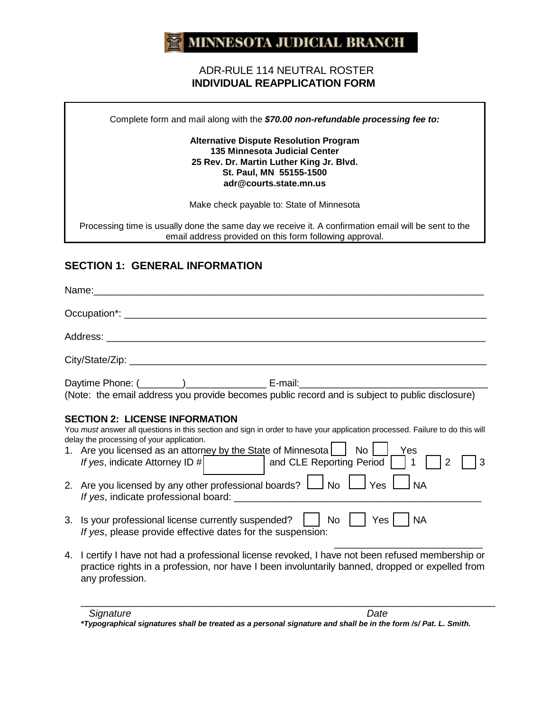#### **MINNESOTA JUDICIAL BRANCH**  $m<sub>l</sub>$

#### ADR-RULE 114 NEUTRAL ROSTER  **INDIVIDUAL REAPPLICATION FORM**

Complete form and mail along with the *\$70.00 non-refundable processing fee to:*

#### **Alternative Dispute Resolution Program 135 Minnesota Judicial Center 25 Rev. Dr. Martin Luther King Jr. Blvd. St. Paul, MN 55155-1500 adr@courts.state.mn.us**

Make check payable to: State of Minnesota

Processing time is usually done the same day we receive it. A confirmation email will be sent to the email address provided on this form following approval.

## **SECTION 1: GENERAL INFORMATION**

| Daytime Phone: (1000) C-mail: E-mail: E-mail: E-mail: C-mail: C-mail: C-mail: (Note: the email address you provide becomes public record and is subject to public disclosure)                                                                                                                                                                                                                                                                                                                                                                                                     |                                       |
|-----------------------------------------------------------------------------------------------------------------------------------------------------------------------------------------------------------------------------------------------------------------------------------------------------------------------------------------------------------------------------------------------------------------------------------------------------------------------------------------------------------------------------------------------------------------------------------|---------------------------------------|
| <b>SECTION 2: LICENSE INFORMATION</b><br>You must answer all questions in this section and sign in order to have your application processed. Failure to do this will<br>delay the processing of your application.<br>1. Are you licensed as an attorney by the State of Minnesota   No   Yes<br>If yes, indicate Attorney ID #   and CLE Reporting Period     1<br>2. Are you licensed by any other professional boards? $\Box$ No $\Box$ Yes $\Box$ NA<br>3. Is your professional license currently suspended?    <br>If yes, please provide effective dates for the suspension: | 3<br>Yes   NA<br>$No$ $\vert$ $\vert$ |
| 4. I certify I have not had a professional license revoked, I have not been refused membership or<br>practice rights in a profession, nor have I been involuntarily banned, dropped or expelled from<br>any profession.                                                                                                                                                                                                                                                                                                                                                           |                                       |

*\*Typographical signatures shall be treated as a personal signature and shall be in the form /s/ Pat. L. Smith.*

\_\_\_\_\_\_\_\_\_\_\_\_\_\_\_\_\_\_\_\_\_\_\_\_\_\_\_\_\_\_\_\_\_\_\_\_\_\_\_\_\_\_\_\_\_\_\_\_\_\_\_\_\_\_\_\_\_\_\_\_\_\_\_\_\_\_\_\_\_\_\_\_\_\_\_\_\_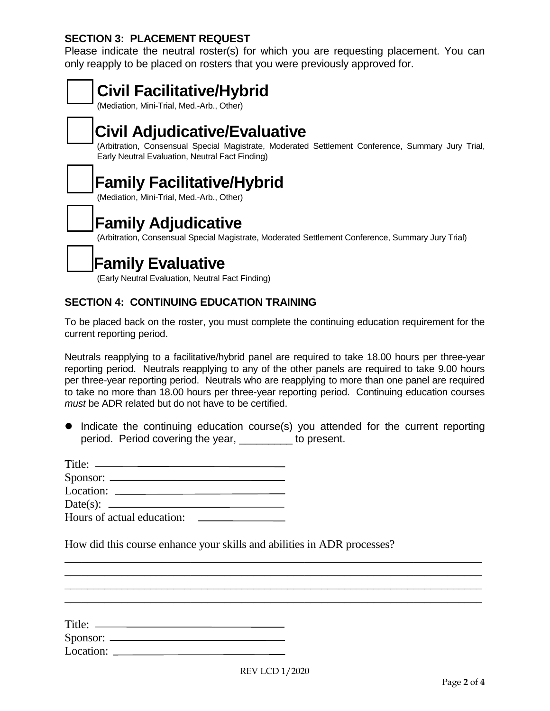### **SECTION 3: PLACEMENT REQUEST**

Please indicate the neutral roster(s) for which you are requesting placement. You can only reapply to be placed on rosters that you were previously approved for.



To be placed back on the roster, you must complete the continuing education requirement for the current reporting period.

Neutrals reapplying to a facilitative/hybrid panel are required to take 18.00 hours per three-year reporting period. Neutrals reapplying to any of the other panels are required to take 9.00 hours per three-year reporting period. Neutrals who are reapplying to more than one panel are required to take no more than 18.00 hours per three-year reporting period. Continuing education courses *must* be ADR related but do not have to be certified.

• Indicate the continuing education course(s) you attended for the current reporting period. Period covering the year, \_\_\_\_\_\_\_\_\_ to present.

| $S$ ponsor: $\_\_$                                                    |  |
|-----------------------------------------------------------------------|--|
| Location:                                                             |  |
| Date(s): $\_\_\_\_\_\_\_\_\_\_\_\_\_\_\_\_\_\_\_\_\_\_\_\_\_\_\_\_\_$ |  |
| Hours of actual education:                                            |  |

How did this course enhance your skills and abilities in ADR processes?

| Title:       |  |
|--------------|--|
| Sponsor: $-$ |  |
| Location:    |  |

 $\overline{a_1}$  , and the contribution of the contribution of the contribution of the contribution of the contribution of the contribution of the contribution of the contribution of the contribution of the contribution of the  $\_$  , and the set of the set of the set of the set of the set of the set of the set of the set of the set of the set of the set of the set of the set of the set of the set of the set of the set of the set of the set of th  $\overline{\phantom{a}}$  , and the set of the set of the set of the set of the set of the set of the set of the set of the set of the set of the set of the set of the set of the set of the set of the set of the set of the set of the s  $\overline{a_1}$  , and the contribution of the contribution of the contribution of the contribution of the contribution of the contribution of the contribution of the contribution of the contribution of the contribution of the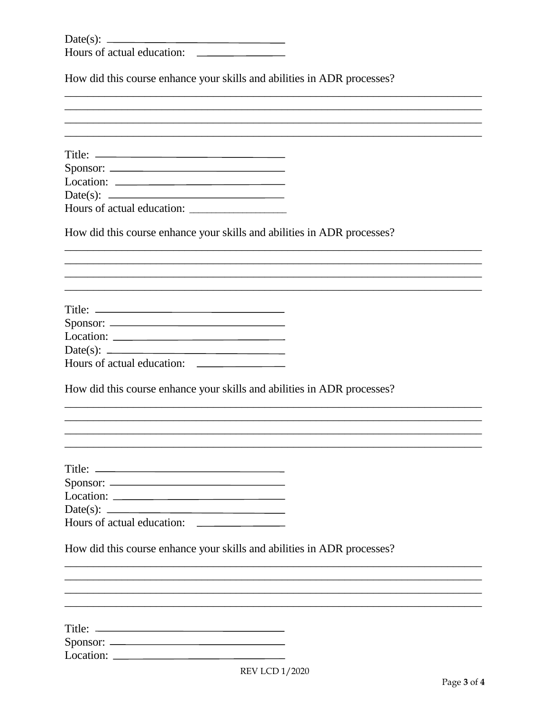| Date(s):                   |  |
|----------------------------|--|
| Hours of actual education: |  |

How did this course enhance your skills and abilities in ADR processes?

| Date(s):<br><u> The Communication of the Communication of the Communication of the Communication of the Communication of the Co</u> |  |
|-------------------------------------------------------------------------------------------------------------------------------------|--|
| Hours of actual education:                                                                                                          |  |
| How did this course enhance your skills and abilities in ADR processes?                                                             |  |
|                                                                                                                                     |  |
|                                                                                                                                     |  |
|                                                                                                                                     |  |
|                                                                                                                                     |  |
|                                                                                                                                     |  |
|                                                                                                                                     |  |
|                                                                                                                                     |  |
|                                                                                                                                     |  |
| How did this course enhance your skills and abilities in ADR processes?                                                             |  |
|                                                                                                                                     |  |
|                                                                                                                                     |  |
|                                                                                                                                     |  |
|                                                                                                                                     |  |
| Location:                                                                                                                           |  |
|                                                                                                                                     |  |
|                                                                                                                                     |  |
| How did this course enhance your skills and abilities in ADR processes?                                                             |  |
|                                                                                                                                     |  |
|                                                                                                                                     |  |
|                                                                                                                                     |  |
|                                                                                                                                     |  |
|                                                                                                                                     |  |
|                                                                                                                                     |  |
|                                                                                                                                     |  |
| $DEVI$ $CD = 1/2020$                                                                                                                |  |